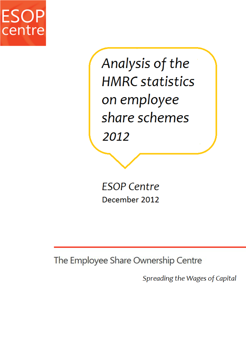

Analysis of the **HMRC** statistics on employee share schemes 2012

**ESOP Centre** December 2012

The Employee Share Ownership Centre

Spreading the Wages of Capital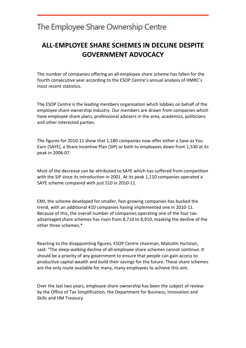### **ALL-EMPLOYEE SHARE SCHEMES IN DECLINE DESPITE GOVERNMENT ADVOCACY**

The number of companies offering an all-employee share scheme has fallen for the fourth consecutive year according to the ESOP Centre's annual analysis of HMRC's most recent statistics.

The ESOP Centre is the leading members organisation which lobbies on behalf of the employee share ownership industry. Our members are drawn from companies which have employee share plans, professional advisers in the area, academics, politicians and other interested parties.

The figures for 2010-11 show that 1,180 companies now offer either a Save as You Earn (SAYE), a Share Incentive Plan (SIP) or both to employees down from 1,530 at its peak in 2006-07.

Most of the decrease can be attributed to SAYE which has suffered from competition with the SIP since its introduction in 2001. At its peak 1,110 companies operated a SAYE scheme compared with just 510 in 2010-11.

EMI, the scheme developed for smaller, fast-growing companies has bucked the trend, with an additional 410 companies having implemented one in 2010-11. Because of this, the overall number of companies operating one of the four taxadvantaged share schemes has risen from 8,710 to 8,910, masking the decline of the other three schemes.\*

Reacting to the disappointing figures, ESOP Centre chairman, Malcolm Hurlston, said: "The sleep-walking decline of all-employee share schemes cannot continue. It should be a priority of any government to ensure that people can gain access to productive capital wealth and build their savings for the future. These share schemes are the only route available for many, many employees to achieve this aim.

Over the last two years, employee share ownership has been the subject of review by the Office of Tax Simplification, the Department for Business, Innovation and Skills and HM Treasury.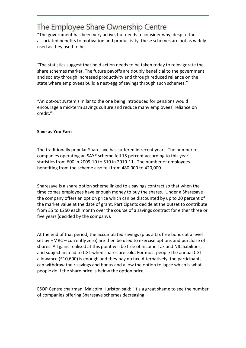"The government has been very active, but needs to consider why, despite the associated benefits to motivation and productivity, these schemes are not as widely used as they used to be.

"The statistics suggest that bold action needs to be taken today to reinvigorate the share schemes market. The future payoffs are doubly beneficial to the government and society through increased productivity and through reduced reliance on the state where employees build a nest-egg of savings through such schemes."

"An opt-out system similar to the one being introduced for pensions would encourage a mid-term savings culture and reduce many employees' reliance on credit."

#### **Save as You Earn**

The traditionally popular Sharesave has suffered in recent years. The number of companies operating an SAYE scheme fell 15 percent according to this year's statistics from 600 in 2009-10 to 510 in 2010-11. The number of employees benefiting from the scheme also fell from 480,000 to 420,000.

Sharesave is a share option scheme linked to a savings contract so that when the time comes employees have enough money to buy the shares. Under a Sharesave the company offers an option price which can be discounted by up to 20 percent of the market value at the date of grant. Participants decide at the outset to contribute from £5 to £250 each month over the course of a savings contract for either three or five years (decided by the company).

At the end of that period, the accumulated savings (plus a tax free bonus at a level set by HMRC – currently zero) are then be used to exercise options and purchase of shares. All gains realised at this point will be free of Income Tax and NIC liabilities, and subject instead to CGT when shares are sold. For most people the annual CGT allowance (£10,600) is enough and they pay no tax. Alternatively, the participants can withdraw their savings and bonus and allow the option to lapse which is what people do if the share price is below the option price.

ESOP Centre chairman, Malcolm Hurlston said: "It's a great shame to see the number of companies offering Sharesave schemes decreasing.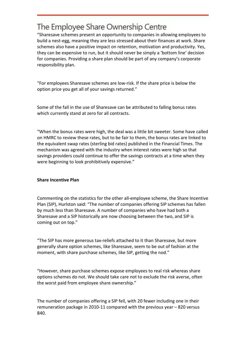"Sharesave schemes present an opportunity to companies in allowing employees to build a nest-egg, meaning they are less stressed about their finances at work. Share schemes also have a positive impact on retention, motivation and productivity. Yes, they can be expensive to run, but it should never be simply a 'bottom line' decision for companies. Providing a share plan should be part of any company's corporate responsibility plan.

"For employees Sharesave schemes are low-risk. If the share price is below the option price you get all of your savings returned."

Some of the fall in the use of Sharesave can be attributed to falling bonus rates which currently stand at zero for all contracts.

"When the bonus rates were high, the deal was a little bit sweeter. Some have called on HMRC to review these rates, but to be fair to them, the bonus rates are linked to the equivalent swap rates (sterling bid rates) published in the Financial Times. The mechanism was agreed with the industry when interest rates were high so that savings providers could continue to offer the savings contracts at a time when they were beginning to look prohibitively expensive."

#### **Share Incentive Plan**

Commenting on the statistics for the other all-employee scheme, the Share Incentive Plan (SIP), Hurlston said: "The number of companies offering SIP schemes has fallen by much less than Sharesave. A number of companies who have had both a Sharesave and a SIP historically are now choosing between the two, and SIP is coming out on top."

"The SIP has more generous tax-reliefs attached to it than Sharesave, but more generally share option schemes, like Sharesave, seem to be out of fashion at the moment, with share purchase schemes, like SIP, getting the nod."

"However, share purchase schemes expose employees to real risk whereas share options schemes do not. We should take care not to exclude the risk averse, often the worst paid from employee share ownership."

The number of companies offering a SIP fell, with 20 fewer including one in their remuneration package in 2010-11 compared with the previous year – 820 versus 840.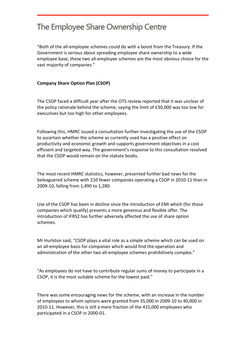"Both of the all-employee schemes could do with a boost from the Treasury. If the Government is serious about spreading employee share ownership to a wide employee base, these two all-employee schemes are the most obvious choice for the vast majority of companies."

#### **Company Share Option Plan (CSOP)**

The CSOP faced a difficult year after the OTS review reported that it was unclear of the policy rationale behind the scheme, saying the limit of £30,000 was too low for executives but too high for other employees.

Following this, HMRC issued a consultation further investigating the use of the CSOP to ascertain whether the scheme as currently used has a positive effect on productivity and economic growth and supports government objectives in a cost efficient and targeted way. The government's response to this consultation resolved that the CSOP would remain on the statute books.

The most recent HMRC statistics, however, presented further bad news for the beleaguered scheme with 210 fewer companies operating a CSOP in 2010-11 than in 2009-10, falling from 1,490 to 1,280.

Use of the CSOP has been in decline since the introduction of EMI which (for those companies which qualify) presents a more generous and flexible offer. The introduction of IFRS2 has further adversely affected the use of share option schemes.

Mr Hurlston said, "CSOP plays a vital role as a simple scheme which can be used on an all-employee basis for companies which would find the operation and administration of the other two all-employee schemes prohibitively complex."

"As employees do not have to contribute regular sums of money to participate in a CSOP, it is the most suitable scheme for the lowest paid."

There was some encouraging news for the scheme, with an increase in the number of employees to whom options were granted from 35,000 in 2009-10 to 40,000 in 2010-11. However, this is still a mere fraction of the 415,000 employees who participated in a CSOP in 2000-01.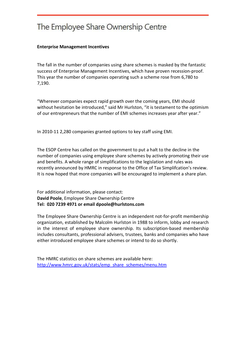#### **Enterprise Management Incentives**

The fall in the number of companies using share schemes is masked by the fantastic success of Enterprise Management Incentives, which have proven recession-proof. This year the number of companies operating such a scheme rose from 6,780 to 7,190.

"Wherever companies expect rapid growth over the coming years, EMI should without hesitation be introduced," said Mr Hurlston, "it is testament to the optimism of our entrepreneurs that the number of EMI schemes increases year after year."

In 2010-11 2,280 companies granted options to key staff using EMI.

The ESOP Centre has called on the government to put a halt to the decline in the number of companies using employee share schemes by actively promoting their use and benefits. A whole range of simplifications to the legislation and rules was recently announced by HMRC in response to the Office of Tax Simplifcation's review. It is now hoped that more companies will be encouraged to implement a share plan.

For additional information, please contact: **David Poole**, Employee Share Ownership Centre **Tel: 020 7239 4971 or email dpoole@hurlstons.com**

The Employee Share Ownership Centre is an independent not-for-profit membership organization, established by Malcolm Hurlston in 1988 to inform, lobby and research in the interest of employee share ownership. Its subscription-based membership includes consultants, professional advisers, trustees, banks and companies who have either introduced employee share schemes or intend to do so shortly.

The HMRC statistics on share schemes are available here: http://www.hmrc.gov.uk/stats/emp\_share\_schemes/menu.htm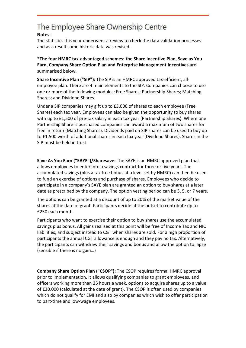#### **Notes:**

The statistics this year underwent a review to check the data validation processes and as a result some historic data was revised.

#### **\*The four HMRC tax-advantaged schemes: the Share Incentive Plan, Save as You Earn, Company Share Option Plan and Enterprise Management Incentives** are summarised below.

**Share Incentive Plan ("SIP"):** The SIP is an HMRC approved tax-efficient, allemployee plan. There are 4 main elements to the SIP. Companies can choose to use one or more of the following modules: Free Shares; Partnership Shares; Matching Shares; and Dividend Shares.

Under a SIP companies may gift up to £3,000 of shares to each employee (Free Shares) each tax year. Employees can also be given the opportunity to buy shares with up to £1,500 of pre-tax salary in each tax year (Partnership Shares). Where one Partnership Share is purchased companies can award a maximum of two shares for free in return (Matching Shares). Dividends paid on SIP shares can be used to buy up to £1,500 worth of additional shares in each tax year (Dividend Shares). Shares in the SIP must be held in trust.

**Save As You Earn ("SAYE")/Sharesave:** The SAYE is an HMRC approved plan that allows employees to enter into a savings contract for three or five years. The accumulated savings (plus a tax free bonus at a level set by HMRC) can then be used to fund an exercise of options and purchase of shares. Employees who decide to participate in a company's SAYE plan are granted an option to buy shares at a later date as prescribed by the company. The option vesting period can be 3, 5, or 7 years.

The options can be granted at a discount of up to 20% of the market value of the shares at the date of grant. Participants decide at the outset to contribute up to £250 each month.

Participants who want to exercise their option to buy shares use the accumulated savings plus bonus. All gains realised at this point will be free of Income Tax and NIC liabilities, and subject instead to CGT when shares are sold. For a high proportion of participants the annual CGT allowance is enough and they pay no tax. Alternatively, the participants can withdraw their savings and bonus and allow the option to lapse (sensible if there is no gain…)

**Company Share Option Plan ("CSOP"):** The CSOP requires formal HMRC approval prior to implementation. It allows qualifying companies to grant employees, and officers working more than 25 hours a week, options to acquire shares up to a value of £30,000 (calculated at the date of grant). The CSOP is often used by companies which do not qualify for EMI and also by companies which wish to offer participation to part-time and low-wage employees.